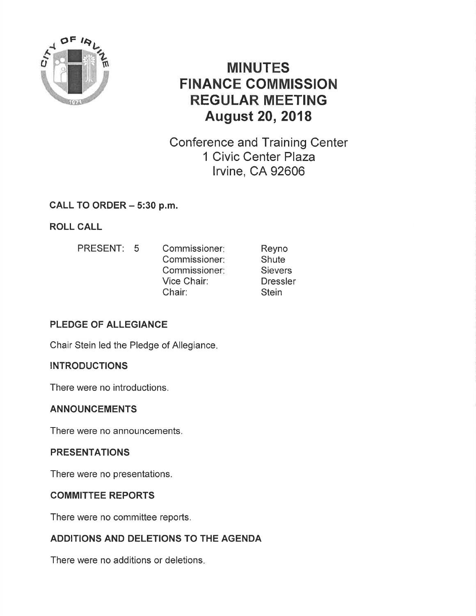

# MINUTES FINANCE COMMISSION REGULAR MEETING August 20,2018

Conference and Training Center 1 Civic Center Plaza lrvine, CA 92606

# CALL TO ORDER - 5:30 p.m.

# ROLL CALL

Reyno **Shute Sievers Dressler Stein** PRESENT: 5 Commissioner: Commissioner Commissioner Vice Chair: Chair:

# PLEDGE OF ALLEGIANCE

Chair Stein led the Pledge of Allegiance

# **INTRODUCTIONS**

There were no introductions.

### ANNOUNCEMENTS

There were no announcements,

### PRESENTATIONS

There were no presentations.

# COMMITTEE REPORTS

There were no committee reports.

# ADDITIONS AND DELETIONS TO THE AGENDA

There were no additions or deletions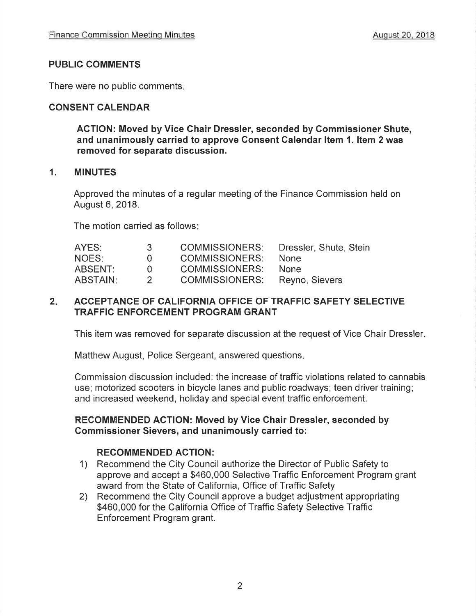### PUBLIC COMMENTS

There were no public comments

### CONSENT CALENDAR

AGTION: Moved by Vice Chair Dressler, seconded by Gommissioner Shute, and unanimously carried to approve Consent Galendar ltem 1. ltem 2 was removed for separate discussion.

#### 1. MINUTES

Approved the minutes of a regular meeting of the Finance Commission held on August 6,2018.

The motion carried as follows

| AYES:           | - 3-         | <b>COMMISSIONERS:</b>                | Dressler, Shute, Stein |
|-----------------|--------------|--------------------------------------|------------------------|
| NOES:           | $\mathbf{U}$ | <b>COMMISSIONERS:</b>                | <b>None</b>            |
| ABSENT:         | $\Omega$     | <b>COMMISSIONERS:</b>                | <b>None</b>            |
| <b>ABSTAIN:</b> |              | <b>COMMISSIONERS:</b> Reyno, Sievers |                        |

#### $2.$ ACCEPTANCE OF CALIFORNIA OFFICE OF TRAFFIC SAFETY SELECTIVE TRAFFIC ENFORCEMENT PROGRAM GRANT

This item was removed for separate discussion at the request of Vice Chair Dressler

Matthew August, Police Sergeant, answered questions

Commission discussion included: the increase of traffic violations related to cannabis use; motorized scooters in bicycle lanes and public roadways; teen driver training; and increased weekend, holiday and special event traffic enforcement.

#### RECOMMENDED ACTION: Moved by Vice Chair Dressler, seconded by Commissioner Sievers, and unanimously carried to:

#### RECOMMENDED ACTION:

- 1) Recommend the City Council authorize the Director of Public Safety to approve and accept a \$460,000 Selective Traffic Enforcement Program grant
- 2) Recommend the City Council approve a budget adjustment appropriating \$460,000 for the California Office of Traffic Safety Selective Traffic Enforcement Program grant.